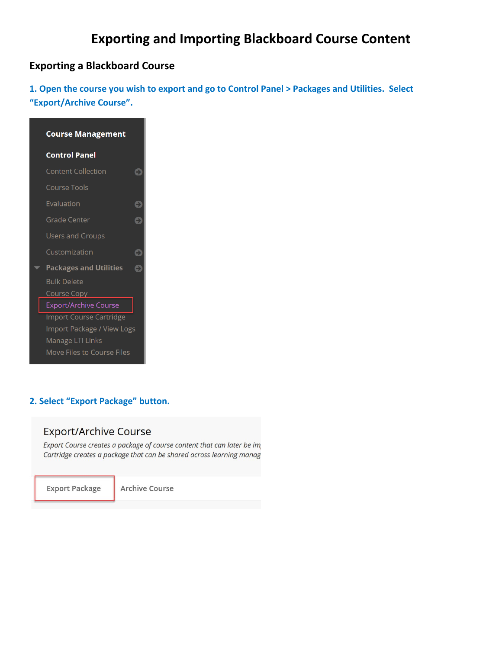# **Exporting and Importing Blackboard Course Content**

### **Exporting a Blackboard Course**

٠

**1. Open the course you wish to export and go to Control Panel > Packages and Utilities. Select "Export/Archive Course".** 

| <b>Course Management</b>          |
|-----------------------------------|
| <b>Control Panel</b>              |
| <b>Content Collection</b><br>۵    |
| Course Tools                      |
| Evaluation<br>٥                   |
| <b>Grade Center</b>               |
| Users and Groups                  |
| Customization                     |
| <b>Packages and Utilities</b>     |
| <b>Bulk Delete</b>                |
| Course Copy                       |
| Export/Archive Course             |
| Import Course Cartridge           |
| Import Package / View Logs        |
| Manage LTI Links                  |
| <b>Move Files to Course Files</b> |

#### **2. Select "Export Package" button.**

#### **Export/Archive Course**

Export Course creates a package of course content that can later be im Cartridge creates a package that can be shared across learning manag

**Export Package** 

Archive Course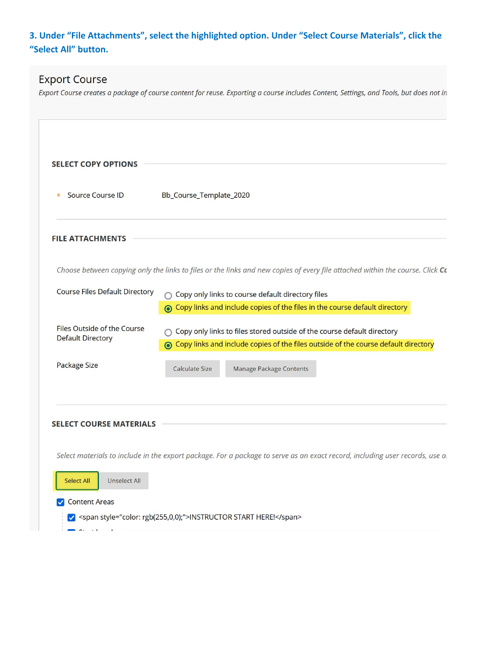# **3. Under "File Attachments", select the highlighted option. Under "Select Course Materials", click the "Select All" button.**

# **Export Course**

Export Course creates a package of course content for reuse. Exporting a course includes Content, Settings, and Tools, but does not in

| <b>SELECT COPY OPTIONS</b>                                                                                                    |                                                                                                                                                                   |  |  |  |  |
|-------------------------------------------------------------------------------------------------------------------------------|-------------------------------------------------------------------------------------------------------------------------------------------------------------------|--|--|--|--|
| <b>Source Course ID</b><br>$\ast$                                                                                             | Bb_Course_Template_2020                                                                                                                                           |  |  |  |  |
| <b>FILE ATTACHMENTS</b>                                                                                                       |                                                                                                                                                                   |  |  |  |  |
| Choose between copying only the links to files or the links and new copies of every file attached within the course. Click Ca |                                                                                                                                                                   |  |  |  |  |
| <b>Course Files Default Directory</b>                                                                                         | ○ Copy only links to course default directory files<br>⊙ Copy links and include copies of the files in the course default directory                               |  |  |  |  |
| Files Outside of the Course<br><b>Default Directory</b>                                                                       | ○ Copy only links to files stored outside of the course default directory<br>⊙ Copy links and include copies of the files outside of the course default directory |  |  |  |  |
| Package Size                                                                                                                  | <b>Calculate Size</b><br>Manage Package Contents                                                                                                                  |  |  |  |  |
| <b>SELECT COURSE MATERIALS</b>                                                                                                |                                                                                                                                                                   |  |  |  |  |
|                                                                                                                               |                                                                                                                                                                   |  |  |  |  |
|                                                                                                                               | Select materials to include in the export package. For a package to serve as an exact record, including user records, use ar                                      |  |  |  |  |
| <b>Unselect All</b><br><b>Select All</b>                                                                                      |                                                                                                                                                                   |  |  |  |  |
| <b>Content Areas</b>                                                                                                          |                                                                                                                                                                   |  |  |  |  |
|                                                                                                                               | √ <span style="color: rgb(255,0,0);">INSTRUCTOR START HERE!</span>                                                                                                |  |  |  |  |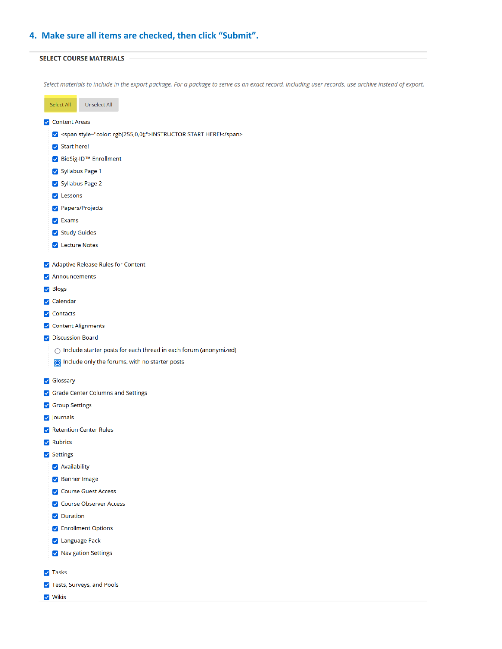#### **4. Make sure all items are checked, then click "Submit".**

#### **SELECT COURSE MATERIALS**

Select materials to include in the export package. For a package to serve as an exact record, including user records, use archive instead of export.

| Select All                                                         | <b>Unselect All</b>                                                                                                           |  |  |  |
|--------------------------------------------------------------------|-------------------------------------------------------------------------------------------------------------------------------|--|--|--|
| <b>V</b> Content Areas                                             |                                                                                                                               |  |  |  |
| √ <span style="color: rgb(255,0,0);">INSTRUCTOR START HERE!</span> |                                                                                                                               |  |  |  |
| $\triangledown$ Start here!                                        |                                                                                                                               |  |  |  |
| √ BioSig-ID™ Enrollment                                            |                                                                                                                               |  |  |  |
| Syllabus Page 1                                                    |                                                                                                                               |  |  |  |
| Syllabus Page 2                                                    |                                                                                                                               |  |  |  |
| $\triangledown$ Lessons                                            |                                                                                                                               |  |  |  |
| Papers/Projects                                                    |                                                                                                                               |  |  |  |
| $\triangleright$ Exams                                             |                                                                                                                               |  |  |  |
| Study Guides                                                       |                                                                                                                               |  |  |  |
| <b>V</b> Lecture Notes                                             |                                                                                                                               |  |  |  |
|                                                                    |                                                                                                                               |  |  |  |
| Adaptive Release Rules for Content                                 |                                                                                                                               |  |  |  |
| Announcements                                                      |                                                                                                                               |  |  |  |
| <b>⊘</b> Blogs                                                     |                                                                                                                               |  |  |  |
| <b>√</b> Calendar                                                  |                                                                                                                               |  |  |  |
| <b>V</b> Contacts                                                  |                                                                                                                               |  |  |  |
| O Content Alignments<br>O Discussion Board                         |                                                                                                                               |  |  |  |
|                                                                    |                                                                                                                               |  |  |  |
|                                                                    | $\bigcirc$ Include starter posts for each thread in each forum (anonymized)<br>Include only the forums, with no starter posts |  |  |  |
|                                                                    |                                                                                                                               |  |  |  |
| Glossary                                                           |                                                                                                                               |  |  |  |
| Grade Center Columns and Settings                                  |                                                                                                                               |  |  |  |
| Group Settings                                                     |                                                                                                                               |  |  |  |
| <b>v</b> Journals                                                  |                                                                                                                               |  |  |  |
| Retention Center Rules                                             |                                                                                                                               |  |  |  |
| Rubrics                                                            |                                                                                                                               |  |  |  |
| Settings                                                           |                                                                                                                               |  |  |  |
| Availability                                                       |                                                                                                                               |  |  |  |
| Banner Image                                                       |                                                                                                                               |  |  |  |
| Ourse Guest Access                                                 |                                                                                                                               |  |  |  |
| Ourse Observer Access                                              |                                                                                                                               |  |  |  |
| Ouration                                                           |                                                                                                                               |  |  |  |
| <b>D</b> Enrollment Options                                        |                                                                                                                               |  |  |  |
| Language Pack                                                      |                                                                                                                               |  |  |  |
| V Navigation Settings                                              |                                                                                                                               |  |  |  |
| <b>V</b> Tasks                                                     |                                                                                                                               |  |  |  |
| V Tests, Surveys, and Pools                                        |                                                                                                                               |  |  |  |
| V Wikis                                                            |                                                                                                                               |  |  |  |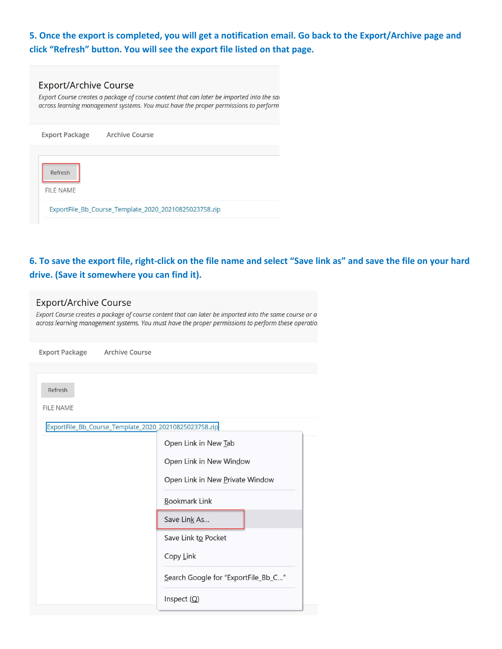### **5. Once the export is completed, you will get a notification email. Go back to the Export/Archive page and click "Refresh" button. You will see the export file listed on that page.**

| <b>Export/Archive Course</b><br>Export Course creates a package of course content that can later be imported into the sai<br>across learning management systems. You must have the proper permissions to perform |  |  |  |
|------------------------------------------------------------------------------------------------------------------------------------------------------------------------------------------------------------------|--|--|--|
| Archive Course<br><b>Export Package</b>                                                                                                                                                                          |  |  |  |
| Refresh<br>FILE NAME<br>ExportFile Bb Course Template 2020 20210825023758.zip                                                                                                                                    |  |  |  |

### **6. To save the export file, right‐click on the file name and select "Save link as" and save the file on your hard drive. (Save it somewhere you can find it).**

### **Export/Archive Course**

Export Course creates a package of course content that can later be imported into the same course or a across learning management systems. You must have the proper permissions to perform these operation

| Export Package Archive Course |                                                                                                            |
|-------------------------------|------------------------------------------------------------------------------------------------------------|
| Refresh<br><b>FILE NAME</b>   | ExportFile_Bb_Course_Template_2020_20210825023758.zip                                                      |
|                               | Open Link in New Tab<br>Open Link in New Window<br>Open Link in New Private Window<br><b>Bookmark Link</b> |
|                               | Save Link As                                                                                               |
|                               | Save Link to Pocket<br>Copy Link                                                                           |
|                               | Search Google for "ExportFile_Bb_C"                                                                        |
|                               | Inspect $(Q)$                                                                                              |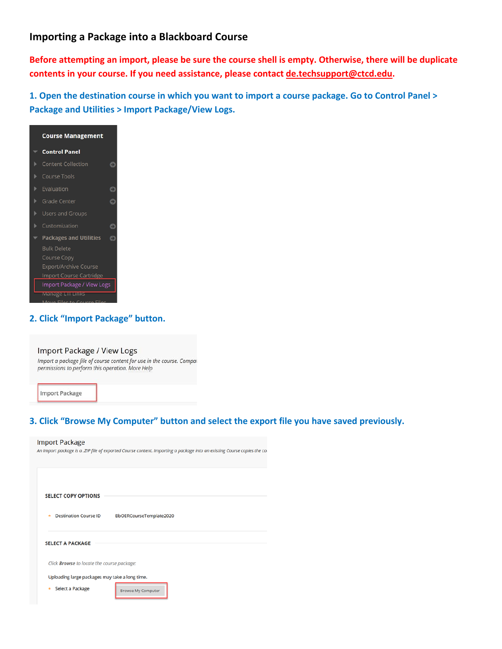#### **Importing a Package into a Blackboard Course**

**Before attempting an import, please be sure the course shell is empty. Otherwise, there will be duplicate contents in your course. If you need assistance, please contact de.techsupport@ctcd.edu.** 

**1. Open the destination course in which you want to import a course package. Go to Control Panel > Package and Utilities > Import Package/View Logs.** 



#### **2. Click "Import Package" button.**

#### Import Package / View Logs

Import a package file of course content for use in the course. Compal permissions to perform this operation. More Help

**Import Package** 

#### **3. Click "Browse My Computer" button and select the export file you have saved previously.**

#### **Import Package**

An Import package is a .ZIP file of exported Course content. Importing a package into an existing Course copies the co

| <b>SELECT COPY OPTIONS</b>                     |                           |  |  |  |
|------------------------------------------------|---------------------------|--|--|--|
| <b>Destination Course ID</b><br>÷              | BbOERCourseTemplate2020   |  |  |  |
| <b>SELECT A PACKAGE</b>                        |                           |  |  |  |
| Click Browse to locate the course package:     |                           |  |  |  |
| Uploading large packages may take a long time. |                           |  |  |  |
| Select a Package<br>×                          | <b>Browse My Computer</b> |  |  |  |